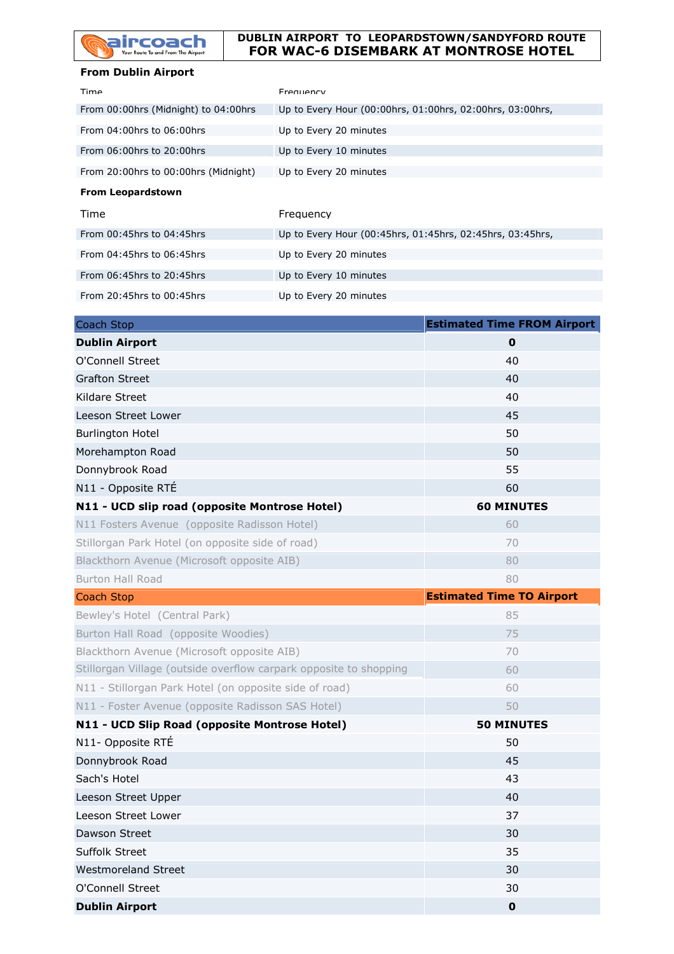

## **DUBLIN AIRPORT TO LEOPARDSTOWN/SANDYFORD ROUTE FOR WAC-6 DISEMBARK AT MONTROSE HOTEL**

## **From Dublin Airport**

| Time                                 | Frequency                                                 |
|--------------------------------------|-----------------------------------------------------------|
| From 00:00hrs (Midnight) to 04:00hrs | Up to Every Hour (00:00hrs, 01:00hrs, 02:00hrs, 03:00hrs, |
| From $04:00$ hrs to $06:00$ hrs      | Up to Every 20 minutes                                    |
| From 06:00hrs to 20:00hrs            | Up to Every 10 minutes                                    |
| From 20:00hrs to 00:00hrs (Midnight) | Up to Every 20 minutes                                    |
| <b>From Leopardstown</b>             |                                                           |
| Time                                 | Frequency                                                 |
| From $00:45$ hrs to $04:45$ hrs      | Up to Every Hour (00:45hrs, 01:45hrs, 02:45hrs, 03:45hrs, |
|                                      |                                                           |
| From 04:45hrs to 06:45hrs            | Up to Every 20 minutes                                    |
| From 06:45hrs to 20:45hrs            | Up to Every 10 minutes                                    |

| Coach Stop                                                        | <b>Estimated Time FROM Airport</b> |
|-------------------------------------------------------------------|------------------------------------|
| <b>Dublin Airport</b>                                             | $\mathbf 0$                        |
| O'Connell Street                                                  | 40                                 |
| <b>Grafton Street</b>                                             | 40                                 |
| Kildare Street                                                    | 40                                 |
| Leeson Street Lower                                               | 45                                 |
| <b>Burlington Hotel</b>                                           | 50                                 |
| Morehampton Road                                                  | 50                                 |
| Donnybrook Road                                                   | 55                                 |
| N11 - Opposite RTÉ                                                | 60                                 |
| N11 - UCD slip road (opposite Montrose Hotel)                     | <b>60 MINUTES</b>                  |
| N11 Fosters Avenue (opposite Radisson Hotel)                      | 60                                 |
| Stillorgan Park Hotel (on opposite side of road)                  | 70                                 |
| Blackthorn Avenue (Microsoft opposite AIB)                        | 80                                 |
| <b>Burton Hall Road</b>                                           | 80                                 |
| <b>Coach Stop</b>                                                 | <b>Estimated Time TO Airport</b>   |
| Bewley's Hotel (Central Park)                                     | 85                                 |
| Burton Hall Road (opposite Woodies)                               | 75                                 |
| Blackthorn Avenue (Microsoft opposite AIB)                        | 70                                 |
| Stillorgan Village (outside overflow carpark opposite to shopping | 60                                 |
| N11 - Stillorgan Park Hotel (on opposite side of road)            | 60                                 |
| N11 - Foster Avenue (opposite Radisson SAS Hotel)                 | 50                                 |
| N11 - UCD Slip Road (opposite Montrose Hotel)                     | <b>50 MINUTES</b>                  |
| N11- Opposite RTÉ                                                 | 50                                 |
| Donnybrook Road                                                   | 45                                 |
| Sach's Hotel                                                      | 43                                 |
| Leeson Street Upper                                               | 40                                 |
| Leeson Street Lower                                               | 37                                 |
| Dawson Street                                                     | 30                                 |
| Suffolk Street                                                    | 35                                 |
| <b>Westmoreland Street</b>                                        | 30                                 |
| O'Connell Street                                                  | 30                                 |
| <b>Dublin Airport</b>                                             | $\pmb{0}$                          |